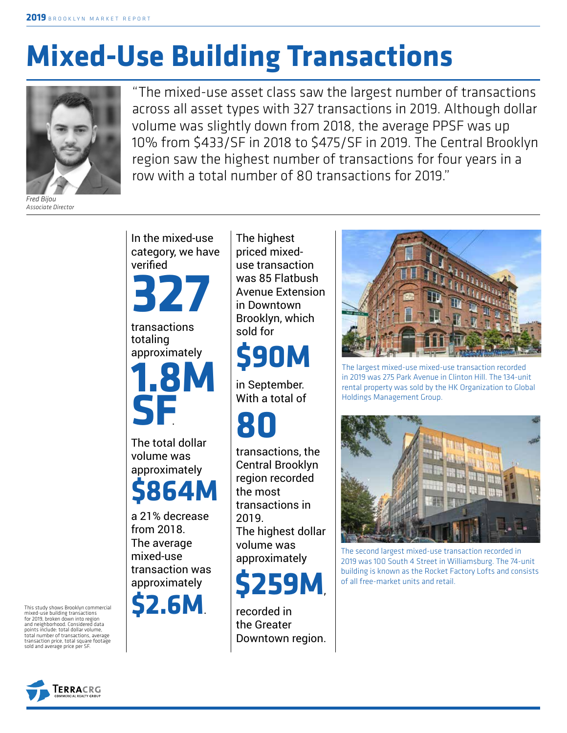# **Mixed-Use Building Transactions**



*Fred Bijou Associate Director*

"The mixed-use asset class saw the largest number of transactions across all asset types with 327 transactions in 2019. Although dollar volume was slightly down from 2018, the average PPSF was up 10% from \$433/SF in 2018 to \$475/SF in 2019. The Central Brooklyn region saw the highest number of transactions for four years in a row with a total number of 80 transactions for 2019."



In the mixed-use

approximately **\$864M**

a 21% decrease from 2018. The average mixed-use transaction was approximately



The highest priced mixeduse transaction was 85 Flatbush Avenue Extension in Downtown Brooklyn, which sold for

## **\$90M**

in September. With a total of

## **80**

transactions, the Central Brooklyn region recorded the most transactions in 2019. The highest dollar volume was approximately



recorded in the Greater Downtown region.



The largest mixed-use mixed-use transaction recorded in 2019 was 275 Park Avenue in Clinton Hill. The 134-unit rental property was sold by the HK Organization to Global Holdings Management Group.



The second largest mixed-use transaction recorded in 2019 was 100 South 4 Street in Williamsburg. The 74-unit building is known as the Rocket Factory Lofts and consists of all free-market units and retail.



This study shows Brooklyn commercial mixed-use building transactions for 2019, broken down into region and neighborhood. Considered data points include: total dollar volume, total number of transactions, average transaction price, total square footage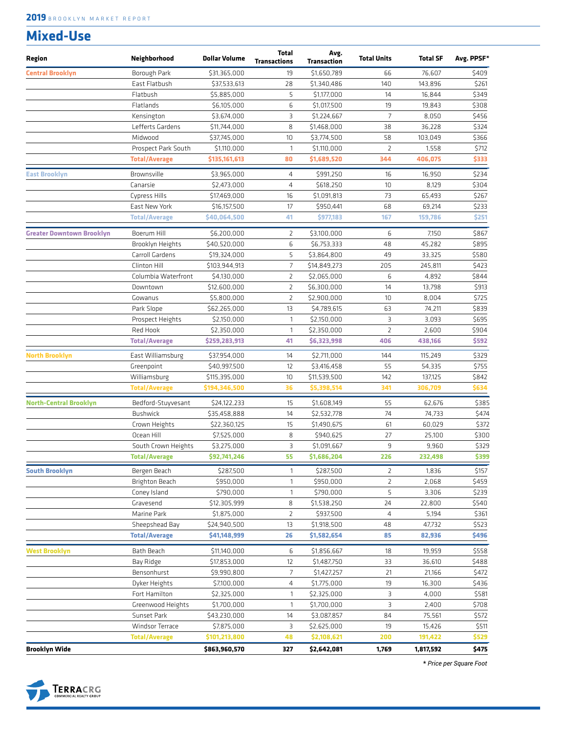#### **Mixed-Use**

| Region                           | Neighborhood         | <b>Dollar Volume</b> | <b>Total</b><br><b>Transactions</b> | Avg.<br>Transaction | <b>Total Units</b> | <b>Total SF</b> | Avg. PPSF* |
|----------------------------------|----------------------|----------------------|-------------------------------------|---------------------|--------------------|-----------------|------------|
| <b>Central Brooklyn</b>          | Borough Park         | \$31,365,000         | 19                                  | \$1,650,789         | 66                 | 76,607          | \$409      |
|                                  | East Flatbush        | \$37,533,613         | 28                                  | \$1,340,486         | 140                | 143,896         | \$261      |
|                                  | Flatbush             | \$5,885,000          | 5                                   | \$1,177,000         | 14                 | 16,844          | \$349      |
|                                  | Flatlands            | \$6,105,000          | 6                                   | \$1,017,500         | 19                 | 19,843          | \$308      |
|                                  | Kensington           | \$3,674,000          | 3                                   | \$1,224,667         | $\overline{7}$     | 8,050           | \$456      |
|                                  | Lefferts Gardens     | \$11,744,000         | 8                                   | \$1,468,000         | 38                 | 36,228          | \$324      |
|                                  | Midwood              | \$37,745,000         | 10                                  | \$3,774,500         | 58                 | 103,049         | \$366      |
|                                  | Prospect Park South  | \$1,110,000          | $\mathbf{1}$                        | \$1,110,000         | $\overline{2}$     | 1,558           | \$712      |
|                                  | <b>Total/Average</b> | \$135,161,613        | 80                                  | \$1,689,520         | 344                | 406,075         | \$333      |
| <b>East Brooklyn</b>             | Brownsville          | \$3,965,000          | $\overline{4}$                      | \$991,250           | 16                 | 16,950          | \$234      |
|                                  | Canarsie             | \$2,473,000          | $\overline{4}$                      | \$618,250           | 10                 | 8,129           | \$304      |
|                                  | Cypress Hills        | \$17,469,000         | 16                                  | \$1,091,813         | 73                 | 65,493          | \$267      |
|                                  | East New York        | \$16,157,500         | 17                                  | \$950,441           | 68                 | 69,214          | \$233      |
|                                  | <b>Total/Average</b> | \$40,064,500         | 41                                  | \$977,183           | 167                | 159,786         | \$251      |
| <b>Greater Downtown Brooklyn</b> | Boerum Hill          | \$6,200,000          | 2                                   | \$3,100,000         | 6                  | 7,150           | \$867      |
|                                  | Brooklyn Heights     | \$40,520,000         | 6                                   | \$6,753,333         | 48                 | 45,282          | \$895      |
|                                  | Carroll Gardens      | \$19,324,000         | 5                                   | \$3,864,800         | 49                 | 33,325          | \$580      |
|                                  | Clinton Hill         | \$103,944,913        | $\overline{7}$                      | \$14,849,273        | 205                | 245,811         | \$423      |
|                                  | Columbia Waterfront  | \$4,130,000          | $\overline{2}$                      | \$2,065,000         | 6                  | 4,892           | \$844      |
|                                  | Downtown             | \$12,600,000         | $\overline{2}$                      | \$6,300,000         | 14                 | 13,798          | \$913      |
|                                  | Gowanus              | \$5,800,000          | $\overline{2}$                      | \$2,900,000         | 10                 | 8,004           | \$725      |
|                                  | Park Slope           | \$62,265,000         | 13                                  | \$4,789,615         | 63                 | 74,211          | \$839      |
|                                  | Prospect Heights     | \$2,150,000          | $\mathbf{1}$                        | \$2,150,000         | 3                  | 3,093           | \$695      |
|                                  | Red Hook             | \$2,350,000          | $\mathbf{1}$                        | \$2,350,000         | $\overline{2}$     | 2,600           | \$904      |
|                                  | <b>Total/Average</b> | \$259,283,913        | 41                                  | \$6,323,998         | 406                | 438,166         | \$592      |
| <b>North Brooklyn</b>            | East Williamsburg    | \$37,954,000         | 14                                  | \$2,711,000         | 144                | 115,249         | \$329      |
|                                  | Greenpoint           | \$40,997,500         | 12                                  | \$3,416,458         | 55                 | 54,335          | \$755      |
|                                  | Williamsburg         | \$115,395,000        | 10                                  | \$11,539,500        | 142                | 137,125         | \$842      |
|                                  | <b>Total/Average</b> | \$194,346,500        | 36                                  | \$5,398,514         | 341                | 306,709         | \$634      |
| <b>North-Central Brooklyn</b>    | Bedford-Stuyvesant   | \$24,122,233         | 15                                  | \$1,608,149         | 55                 | 62,676          | \$385      |
|                                  | <b>Bushwick</b>      | \$35,458,888         | 14                                  | \$2,532,778         | 74                 | 74,733          | \$474      |
|                                  | Crown Heights        | \$22,360,125         | 15                                  | \$1,490,675         | 61                 | 60,029          | \$372      |
|                                  | Ocean Hill           | \$7,525,000          | 8                                   | \$940,625           | 27                 | 25,100          | \$300      |
|                                  | South Crown Heights  | \$3,275,000          | 3                                   | \$1,091,667         | 9                  | 9,960           | \$329      |
|                                  | <b>Total/Average</b> | \$92,741,246         | 55                                  | \$1,686,204         | 226                | 232,498         | \$399      |
| <b>South Brooklyn</b>            | Bergen Beach         | \$287,500            | 1                                   | \$287,500           | 2                  | 1,836           | \$157      |
|                                  | Brighton Beach       | \$950,000            | 1                                   | \$950,000           | $\overline{2}$     | 2,068           | \$459      |
|                                  | Coney Island         | \$790,000            | $\mathbf{1}$                        | \$790,000           | 5                  | 3,306           | \$239      |
|                                  | Gravesend            | \$12,305,999         | 8                                   | \$1,538,250         | 24                 | 22,800          | \$540      |
|                                  | Marine Park          | \$1,875,000          | $\overline{2}$                      | \$937,500           | $\overline{4}$     | 5,194           | \$361      |
|                                  | Sheepshead Bay       | \$24,940,500         | 13                                  | \$1,918,500         | 48                 | 47,732          | \$523      |
|                                  | <b>Total/Average</b> | \$41,148,999         | 26                                  | \$1,582,654         | 85                 | 82,936          | \$496      |
| <b>West Brooklyn</b>             | Bath Beach           | \$11,140,000         | 6                                   | \$1,856,667         | 18                 | 19,959          | \$558      |
|                                  | Bay Ridge            | \$17,853,000         | 12                                  | \$1,487,750         | 33                 | 36,610          | \$488      |
|                                  | Bensonhurst          | \$9,990,800          | 7                                   | \$1,427,257         | 21                 | 21,166          | \$472      |
|                                  | Dyker Heights        | \$7,100,000          | 4                                   | \$1,775,000         | 19                 | 16,300          | \$436      |
|                                  | Fort Hamilton        | \$2,325,000          | 1                                   | \$2,325,000         | З                  | 4,000           | \$581      |
|                                  | Greenwood Heights    | \$1,700,000          | $\mathbf{1}$                        | \$1,700,000         | З                  | 2,400           | \$708      |
|                                  | Sunset Park          | \$43,230,000         | 14                                  | \$3,087,857         | 84                 | 75,561          | \$572      |
|                                  | Windsor Terrace      | \$7,875,000          | 3                                   | \$2,625,000         | 19                 | 15,426          | \$511      |
|                                  | <b>Total/Average</b> | \$101,213,800        | 48                                  | \$2,108,621         | 200                | 191,422         | \$529      |
| <b>Brooklyn Wide</b>             |                      | \$863,960,570        | 327                                 | \$2,642,081         | 1,769              | 1,817,592       | \$475      |

**\*** *Price per Square Foot*